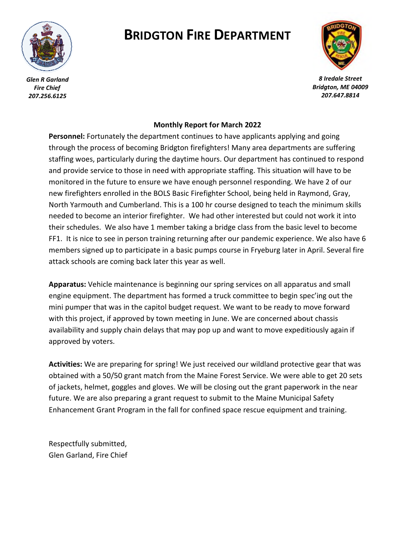

*Glen R Garland Fire Chief 207.256.6125*

## **BRIDGTON FIRE DEPARTMENT**



*8 Iredale Street Bridgton, ME 04009 207.647.8814*

## **Monthly Report for March 2022**

**Personnel:** Fortunately the department continues to have applicants applying and going through the process of becoming Bridgton firefighters! Many area departments are suffering staffing woes, particularly during the daytime hours. Our department has continued to respond and provide service to those in need with appropriate staffing. This situation will have to be monitored in the future to ensure we have enough personnel responding. We have 2 of our new firefighters enrolled in the BOLS Basic Firefighter School, being held in Raymond, Gray, North Yarmouth and Cumberland. This is a 100 hr course designed to teach the minimum skills needed to become an interior firefighter. We had other interested but could not work it into their schedules. We also have 1 member taking a bridge class from the basic level to become FF1. It is nice to see in person training returning after our pandemic experience. We also have 6 members signed up to participate in a basic pumps course in Fryeburg later in April. Several fire attack schools are coming back later this year as well.

**Apparatus:** Vehicle maintenance is beginning our spring services on all apparatus and small engine equipment. The department has formed a truck committee to begin spec'ing out the mini pumper that was in the capitol budget request. We want to be ready to move forward with this project, if approved by town meeting in June. We are concerned about chassis availability and supply chain delays that may pop up and want to move expeditiously again if approved by voters.

**Activities:** We are preparing for spring! We just received our wildland protective gear that was obtained with a 50/50 grant match from the Maine Forest Service. We were able to get 20 sets of jackets, helmet, goggles and gloves. We will be closing out the grant paperwork in the near future. We are also preparing a grant request to submit to the Maine Municipal Safety Enhancement Grant Program in the fall for confined space rescue equipment and training.

Respectfully submitted, Glen Garland, Fire Chief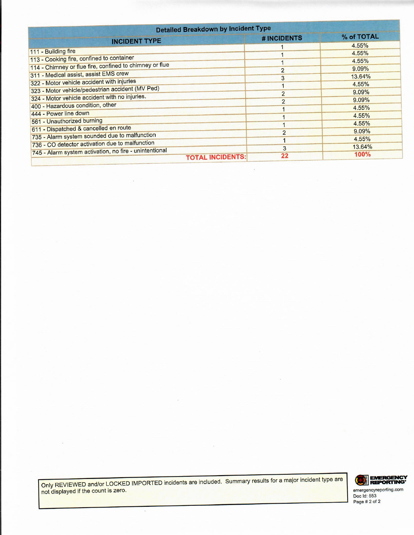| <b>Detailed Breakdown by Incident Type</b>              |                |            |
|---------------------------------------------------------|----------------|------------|
| <b>INCIDENT TYPE</b>                                    | # INCIDENTS    | % of TOTAL |
|                                                         |                | 4.55%      |
| 111 - Building fire                                     |                | 4.55%      |
| 113 - Cooking fire, confined to container               |                | 4.55%      |
| 114 - Chimney or flue fire, confined to chimney or flue | $\overline{2}$ | 9.09%      |
| 311 - Medical assist, assist EMS crew                   | 3              | 13.64%     |
| 322 - Motor vehicle accident with injuries              |                | 4.55%      |
| 323 - Motor vehicle/pedestrian accident (MV Ped)        | $\overline{2}$ | 9.09%      |
| 324 - Motor vehicle accident with no injuries.          | $\overline{2}$ | 9.09%      |
| 400 - Hazardous condition, other                        |                | 4.55%      |
| 444 - Power line down                                   |                | 4.55%      |
| 561 - Unauthorized burning                              |                | 4.55%      |
| 611 - Dispatched & cancelled en route                   | $\overline{2}$ | 9.09%      |
| 735 - Alarm system sounded due to malfunction           |                | 4.55%      |
| 736 - CO detector activation due to malfunction         |                | 13.64%     |
| 745 - Alarm system activation, no fire - unintentional  | 3              | 100%       |
| <b>TOTAL INCIDENTS:</b>                                 | 22             |            |

 $\widetilde{\mathbf{x}}$ 

Only REVIEWED and/or LOCKED IMPORTED incidents are included. Summary results for a major incident type are not displayed if the count is zero.

 $\overline{\phantom{a}}$ 



Page # 2 of 2